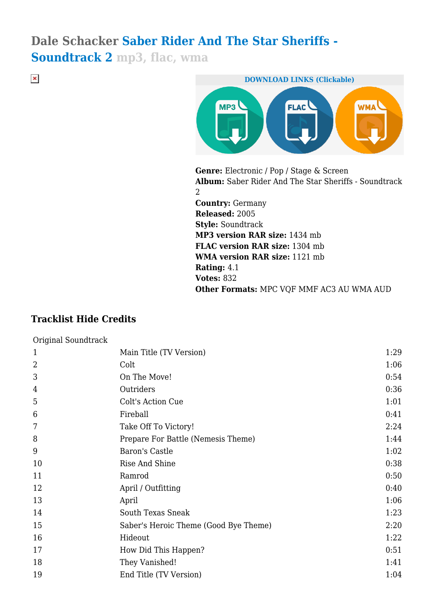# **Dale Schacker Saber Rider And The Star Sheriffs -**

**Soundtrack 2 mp3, flac, wma**

 $\pmb{\times}$ 



**Genre:** Electronic / Pop / Stage & Screen **Album:** Saber Rider And The Star Sheriffs - Soundtrack 2 **Country:** Germany **Released:** 2005 **Style:** Soundtrack **MP3 version RAR size:** 1434 mb **FLAC version RAR size:** 1304 mb **WMA version RAR size:** 1121 mb **Rating:** 4.1 **Votes:** 832 **Other Formats:** MPC VQF MMF AC3 AU WMA AUD

# **Tracklist Hide Credits**

| Original Soundtrack |                                       |      |
|---------------------|---------------------------------------|------|
| $\mathbf{1}$        | Main Title (TV Version)               | 1:29 |
| $\overline{2}$      | Colt                                  | 1:06 |
| 3                   | On The Move!                          | 0:54 |
| 4                   | Outriders                             | 0:36 |
| 5                   | Colt's Action Cue                     | 1:01 |
| 6                   | Fireball                              | 0:41 |
| 7                   | Take Off To Victory!                  | 2:24 |
| 8                   | Prepare For Battle (Nemesis Theme)    | 1:44 |
| 9                   | Baron's Castle                        | 1:02 |
| 10                  | Rise And Shine                        | 0:38 |
| 11                  | Ramrod                                | 0:50 |
| 12                  | April / Outfitting                    | 0:40 |
| 13                  | April                                 | 1:06 |
| 14                  | <b>South Texas Sneak</b>              | 1:23 |
| 15                  | Saber's Heroic Theme (Good Bye Theme) | 2:20 |
| 16                  | Hideout                               | 1:22 |
| 17                  | How Did This Happen?                  | 0:51 |
| 18                  | They Vanished!                        | 1:41 |
| 19                  | End Title (TV Version)                | 1:04 |
|                     |                                       |      |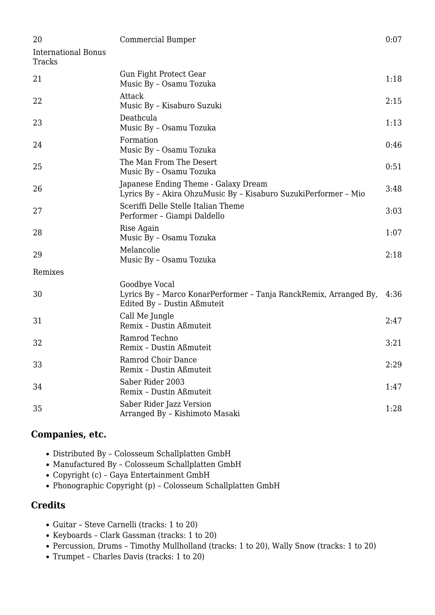| 20                                   | Commercial Bumper                                                                                                 | 0:07 |
|--------------------------------------|-------------------------------------------------------------------------------------------------------------------|------|
| <b>International Bonus</b><br>Tracks |                                                                                                                   |      |
| 21                                   | Gun Fight Protect Gear<br>Music By - Osamu Tozuka                                                                 | 1:18 |
| 22                                   | Attack<br>Music By - Kisaburo Suzuki                                                                              | 2:15 |
| 23                                   | Deathcula<br>Music By - Osamu Tozuka                                                                              | 1:13 |
| 24                                   | Formation<br>Music By - Osamu Tozuka                                                                              | 0:46 |
| 25                                   | The Man From The Desert<br>Music By - Osamu Tozuka                                                                | 0:51 |
| 26                                   | Japanese Ending Theme - Galaxy Dream<br>Lyrics By - Akira OhzuMusic By - Kisaburo SuzukiPerformer - Mio           | 3:48 |
| 27                                   | Sceriffi Delle Stelle Italian Theme<br>Performer - Giampi Daldello                                                | 3:03 |
| 28                                   | Rise Again<br>Music By - Osamu Tozuka                                                                             | 1:07 |
| 29                                   | Melancolie<br>Music By - Osamu Tozuka                                                                             | 2:18 |
| Remixes                              |                                                                                                                   |      |
| 30                                   | Goodbye Vocal<br>Lyrics By - Marco KonarPerformer - Tanja RanckRemix, Arranged By,<br>Edited By - Dustin Aßmuteit | 4:36 |
| 31                                   | Call Me Jungle<br>Remix - Dustin Aßmuteit                                                                         | 2:47 |
| 32                                   | Ramrod Techno<br>Remix - Dustin Aßmuteit                                                                          | 3:21 |
| 33                                   | Ramrod Choir Dance<br>Remix - Dustin Aßmuteit                                                                     | 2:29 |
| 34                                   | Saber Rider 2003<br>Remix - Dustin Aßmuteit                                                                       | 1:47 |
| 35                                   | Saber Rider Jazz Version<br>Arranged By - Kishimoto Masaki                                                        | 1:28 |

## **Companies, etc.**

- Distributed By Colosseum Schallplatten GmbH
- Manufactured By Colosseum Schallplatten GmbH
- Copyright (c) Gaya Entertainment GmbH
- Phonographic Copyright (p) Colosseum Schallplatten GmbH

#### **Credits**

- Guitar Steve Carnelli (tracks: 1 to 20)
- Keyboards Clark Gassman (tracks: 1 to 20)
- Percussion, Drums Timothy Mullholland (tracks: 1 to 20), Wally Snow (tracks: 1 to 20)
- Trumpet Charles Davis (tracks: 1 to 20)